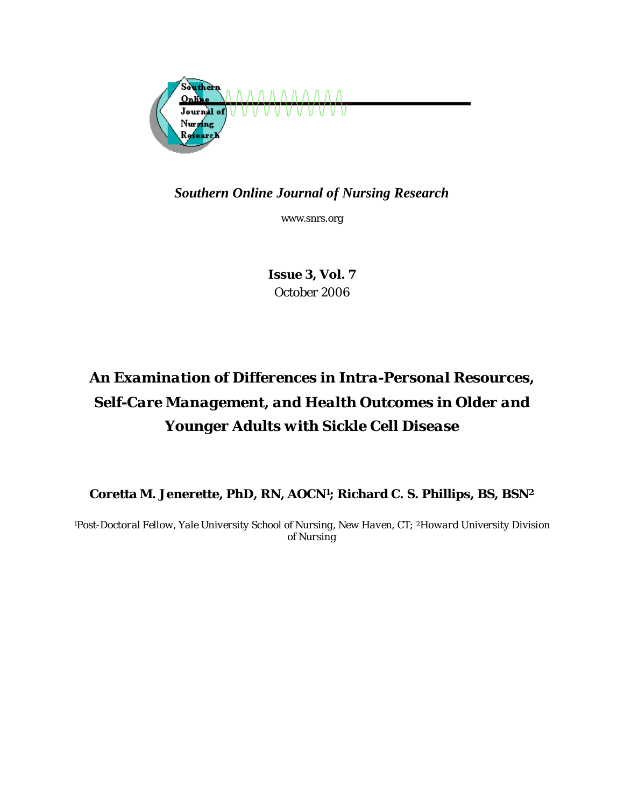

*Southern Online Journal of Nursing Research* 

www.snrs.org

*Issue 3, Vol. 7 October 2006* 

# *An Examination of Differences in Intra-Personal Resources, Self-Care Management, and Health Outcomes in Older and Younger Adults with Sickle Cell Disease*

**Coretta M. Jenerette, PhD, RN, AOCN1; Richard C. S. Phillips, BS, BSN2**

*1Post-Doctoral Fellow, Yale University School of Nursing, New Haven, CT; 2Howard University Division of Nursing*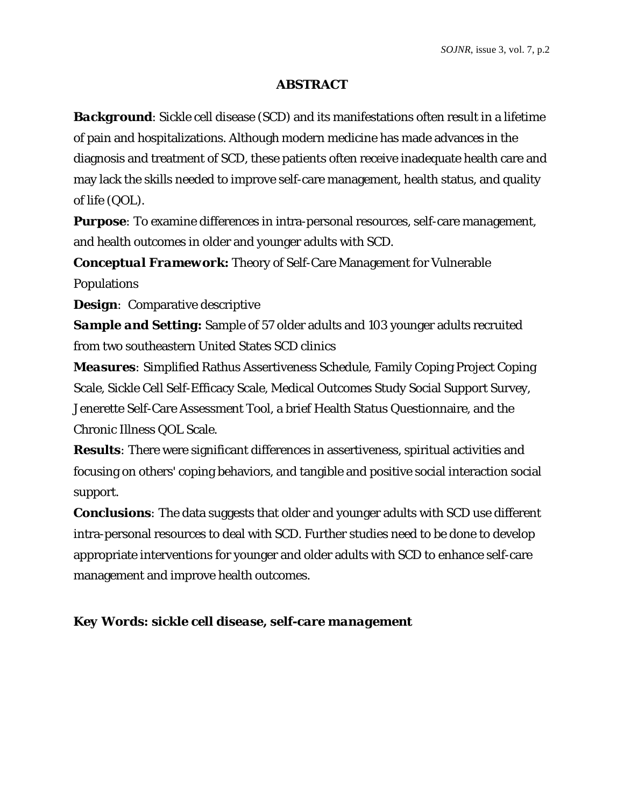## **ABSTRACT**

**Background**: Sickle cell disease (SCD) and its manifestations often result in a lifetime of pain and hospitalizations. Although modern medicine has made advances in the diagnosis and treatment of SCD, these patients often receive inadequate health care and may lack the skills needed to improve self-care management, health status, and quality of life (QOL).

**Purpose**: To examine differences in intra-personal resources, self-care management, and health outcomes in older and younger adults with SCD.

*Conceptual Framework:* Theory of Self-Care Management for Vulnerable Populations

*Design:* Comparative descriptive

**Sample and Setting:** Sample of 57 older adults and 103 younger adults recruited from two southeastern United States SCD clinics

*Measures:* Simplified Rathus Assertiveness Schedule, Family Coping Project Coping Scale, Sickle Cell Self-Efficacy Scale, Medical Outcomes Study Social Support Survey, Jenerette Self-Care Assessment Tool, a brief Health Status Questionnaire, and the Chronic Illness QOL Scale.

*Results:* There were significant differences in assertiveness, spiritual activities and focusing on others' coping behaviors, and tangible and positive social interaction social support.

**Conclusions**: The data suggests that older and younger adults with SCD use different intra-personal resources to deal with SCD. Further studies need to be done to develop appropriate interventions for younger and older adults with SCD to enhance self-care management and improve health outcomes.

## *Key Words: sickle cell disease, self-care management*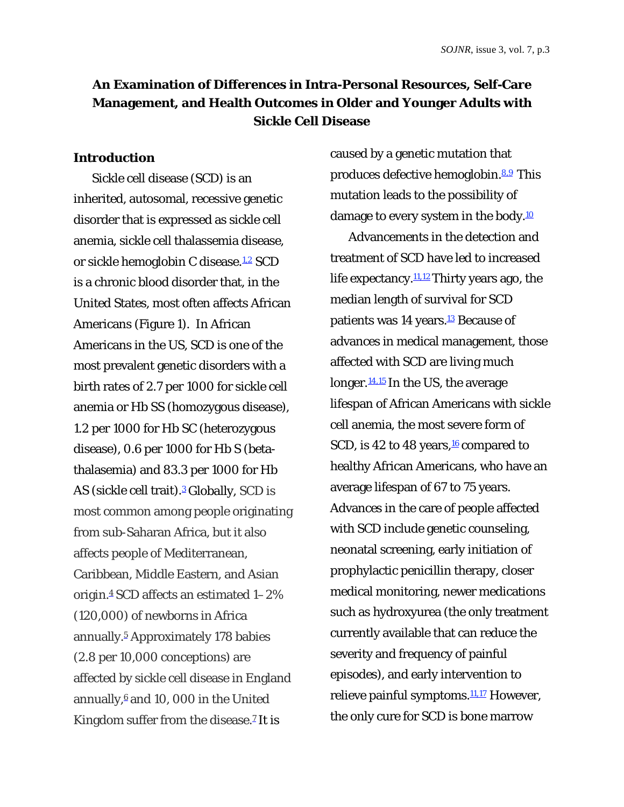# **An Examination of Differences in Intra-Personal Resources, Self-Care Management, and Health Outcomes in Older and Younger Adults with Sickle Cell Disease**

#### **Introduction**

Sickle cell disease (SCD) is an inherited, autosomal, recessive genetic disorder that is expressed as sickle cell anemia, sickle cell thalassemia disease, or sickle hemoglobin C disease.<sup>1,2</sup> SCD is a chronic blood disorder that, in the United States, most often affects African Americans (Figure 1). In African Americans in the US, SCD is one of the most prevalent genetic disorders with a birth rates of 2.7 per 1000 for sickle cell anemia or Hb SS (homozygous disease), 1.2 per 1000 for Hb SC (heterozygous disease), 0.6 per 1000 for Hb S (betathalasemia) and 83.3 per 1000 for Hb AS (sickle cell trait).<sup>3</sup> Globally, SCD is most common among people originating from sub-Saharan Africa, but it also affects people of Mediterranean, Caribbean, Middle Eastern, and Asian origin.4 SCD affects an estimated 1–2% (120,000) of newborns in Africa annually.5 Approximately 178 babies (2.8 per 10,000 conceptions) are affected by sickle cell disease in England annually, $6$  and 10, 000 in the United Kingdom suffer from the disease.<sup> $2$ </sup> It is

caused by a genetic mutation that produces defective hemoglobin.<sup>8,9</sup> This mutation leads to the possibility of damage to every system in the body.<sup>10</sup>

Advancements in the detection and treatment of SCD have led to increased life expectancy.<sup>11,12</sup> Thirty years ago, the median length of survival for SCD patients was 14 years.<sup>13</sup> Because of advances in medical management, those affected with SCD are living much longer.<sup>14,15</sup> In the US, the average lifespan of African Americans with sickle cell anemia, the most severe form of SCD, is 42 to 48 years,  $16$  compared to healthy African Americans, who have an average lifespan of 67 to 75 years. Advances in the care of people affected with SCD include genetic counseling, neonatal screening, early initiation of prophylactic penicillin therapy, closer medical monitoring, newer medications such as hydroxyurea (the only treatment currently available that can reduce the severity and frequency of painful episodes), and early intervention to relieve painful symptoms.<sup>11,17</sup> However, the only cure for SCD is bone marrow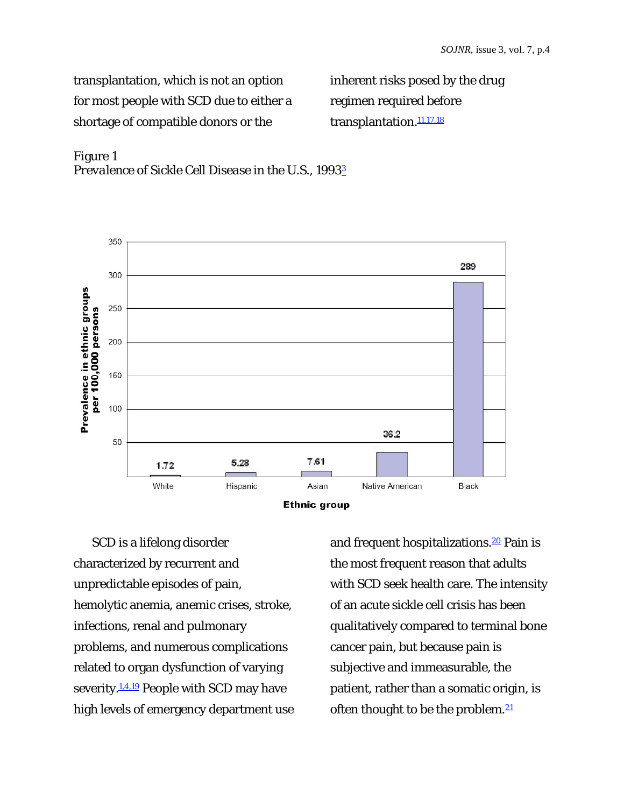transplantation, which is not an option for most people with SCD due to either a shortage of compatible donors or the

inherent risks posed by the drug regimen required before transplantation.<sup>11,17,18</sup>





SCD is a lifelong disorder characterized by recurrent and unpredictable episodes of pain, hemolytic anemia, anemic crises, stroke, infections, renal and pulmonary problems, and numerous complications related to organ dysfunction of varying severity.<sup>1,4,19</sup> People with SCD may have high levels of emergency department use and frequent hospitalizations.<sup>20</sup> Pain is the most frequent reason that adults with SCD seek health care. The intensity of an acute sickle cell crisis has been qualitatively compared to terminal bone cancer pain, but because pain is subjective and immeasurable, the patient, rather than a somatic origin, is often thought to be the problem.<sup>21</sup>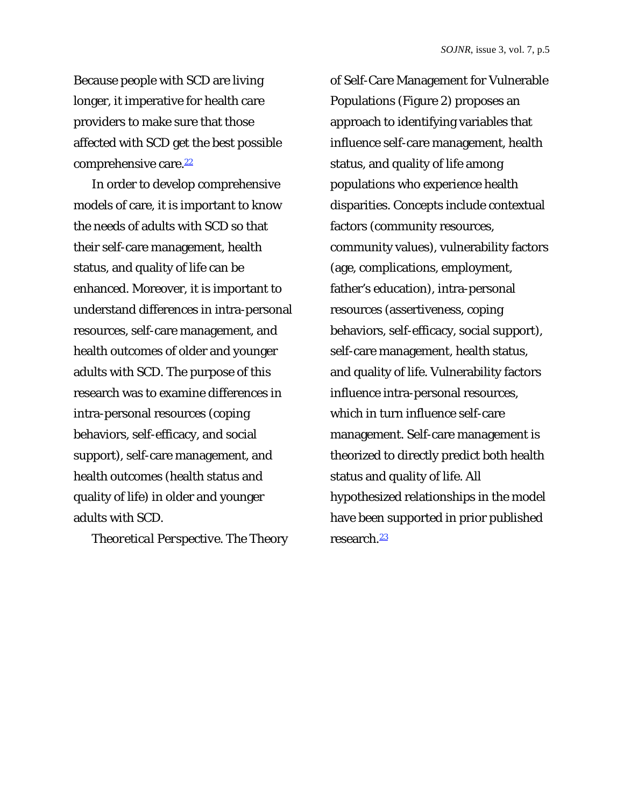Because people with SCD are living longer, it imperative for health care providers to make sure that those affected with SCD get the best possible comprehensive care.<sup>22</sup>

In order to develop comprehensive models of care, it is important to know the needs of adults with SCD so that their self-care management, health status, and quality of life can be enhanced. Moreover, it is important to understand differences in intra-personal resources, self-care management, and health outcomes of older and younger adults with SCD. The purpose of this research was to examine differences in intra-personal resources (coping behaviors, self-efficacy, and social support), self-care management, and health outcomes (health status and quality of life) in older and younger adults with SCD.

*Theoretical Perspective.* The Theory

of Self-Care Management for Vulnerable Populations (Figure 2) proposes an approach to identifying variables that influence self-care management, health status, and quality of life among populations who experience health disparities. Concepts include contextual factors (community resources, community values), vulnerability factors (age, complications, employment, father's education), intra-personal resources (assertiveness, coping behaviors, self-efficacy, social support), self-care management, health status, and quality of life. Vulnerability factors influence intra-personal resources, which in turn influence self-care management. Self-care management is theorized to directly predict both health status and quality of life. All hypothesized relationships in the model have been supported in prior published research.<sup>23</sup>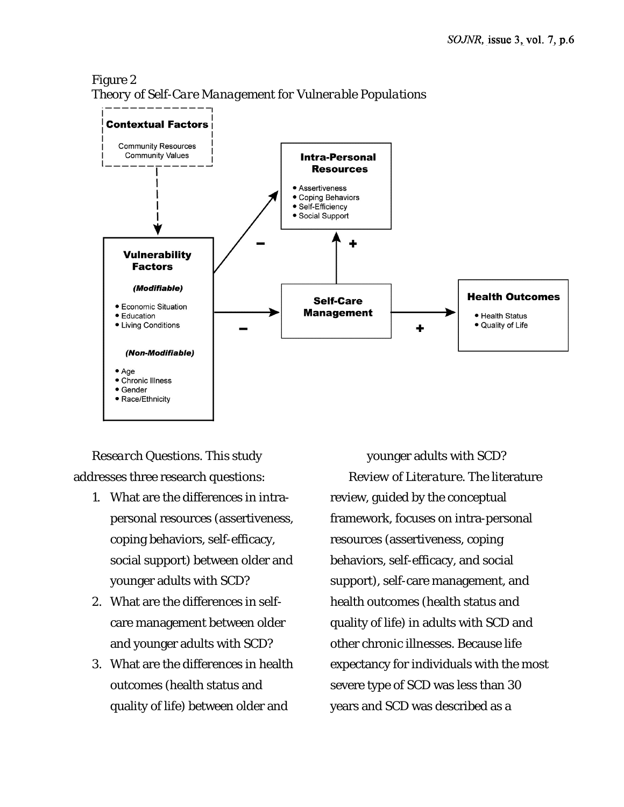## Figure 2 *Theory of Self-Care Management for Vulnerable Populations*



*Research Questions.* This study addresses three research questions:

- 1. What are the differences in intrapersonal resources (assertiveness, coping behaviors, self-efficacy, social support) between older and younger adults with SCD?
- 2. What are the differences in selfcare management between older and younger adults with SCD?
- 3. What are the differences in health outcomes (health status and quality of life) between older and

younger adults with SCD? *Review of Literature.* The literature review, guided by the conceptual framework, focuses on intra-personal resources (assertiveness, coping behaviors, self-efficacy, and social support), self-care management, and health outcomes (health status and quality of life) in adults with SCD and other chronic illnesses. Because life expectancy for individuals with the most severe type of SCD was less than 30 years and SCD was described as a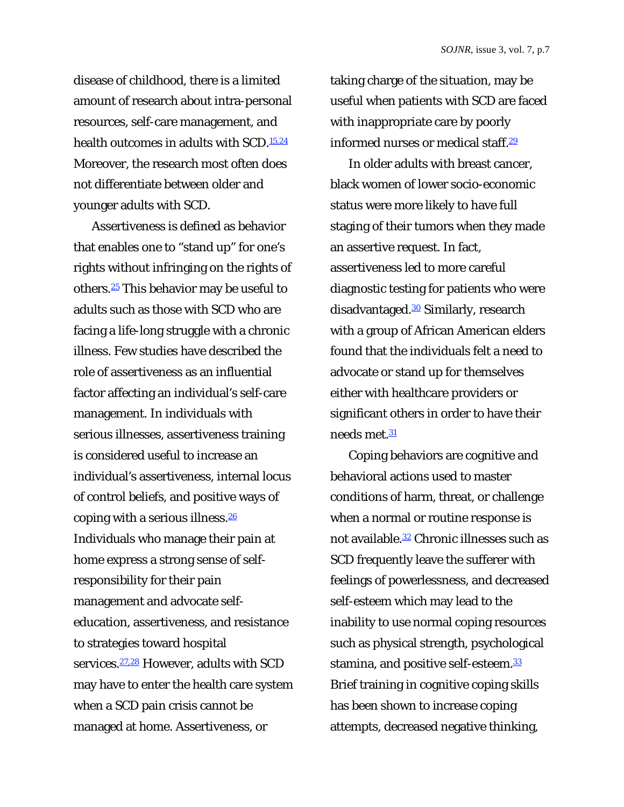disease of childhood, there is a limited amount of research about intra-personal resources, self-care management, and health outcomes in adults with SCD.<sup>15,24</sup> Moreover, the research most often does not differentiate between older and younger adults with SCD.

Assertiveness is defined as behavior that enables one to "stand up" for one's rights without infringing on the rights of others.25 This behavior may be useful to adults such as those with SCD who are facing a life-long struggle with a chronic illness. Few studies have described the role of assertiveness as an influential factor affecting an individual's self-care management. In individuals with serious illnesses, assertiveness training is considered useful to increase an individual's assertiveness, internal locus of control beliefs, and positive ways of coping with a serious illness.26 Individuals who manage their pain at home express a strong sense of selfresponsibility for their pain management and advocate selfeducation, assertiveness, and resistance to strategies toward hospital services.<sup>27,28</sup> However, adults with SCD may have to enter the health care system when a SCD pain crisis cannot be managed at home. Assertiveness, or

taking charge of the situation, may be useful when patients with SCD are faced with inappropriate care by poorly informed nurses or medical staff.<sup>29</sup>

In older adults with breast cancer, black women of lower socio-economic status were more likely to have full staging of their tumors when they made an assertive request. In fact, assertiveness led to more careful diagnostic testing for patients who were disadvantaged.<sup>30</sup> Similarly, research with a group of African American elders found that the individuals felt a need to advocate or stand up for themselves either with healthcare providers or significant others in order to have their needs met 31

Coping behaviors are cognitive and behavioral actions used to master conditions of harm, threat, or challenge when a normal or routine response is not available.<sup>32</sup> Chronic illnesses such as SCD frequently leave the sufferer with feelings of powerlessness, and decreased self-esteem which may lead to the inability to use normal coping resources such as physical strength, psychological stamina, and positive self-esteem.<sup>33</sup> Brief training in cognitive coping skills has been shown to increase coping attempts, decreased negative thinking,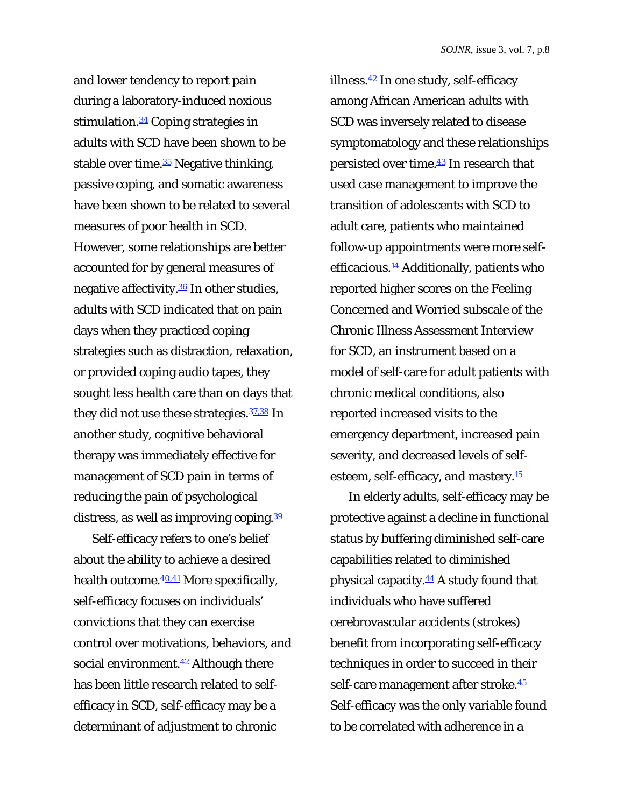and lower tendency to report pain during a laboratory-induced noxious stimulation.<sup>34</sup> Coping strategies in adults with SCD have been shown to be stable over time. $35$  Negative thinking, passive coping, and somatic awareness have been shown to be related to several measures of poor health in SCD. However, some relationships are better accounted for by general measures of negative affectivity. $36$  In other studies, adults with SCD indicated that on pain days when they practiced coping strategies such as distraction, relaxation, or provided coping audio tapes, they sought less health care than on days that they did not use these strategies.  $37,38$  In another study, cognitive behavioral therapy was immediately effective for management of SCD pain in terms of reducing the pain of psychological distress, as well as improving coping 39

Self-efficacy refers to one's belief about the ability to achieve a desired health outcome. <sup>40,41</sup> More specifically, self-efficacy focuses on individuals' convictions that they can exercise control over motivations, behaviors, and social environment. $42$  Although there has been little research related to selfefficacy in SCD, self-efficacy may be a determinant of adjustment to chronic

illness. $42$  In one study, self-efficacy among African American adults with SCD was inversely related to disease symptomatology and these relationships persisted over time. $43$  In research that used case management to improve the transition of adolescents with SCD to adult care, patients who maintained follow-up appointments were more selfefficacious.<sup>14</sup> Additionally, patients who reported higher scores on the Feeling Concerned and Worried subscale of the Chronic Illness Assessment Interview for SCD, an instrument based on a model of self-care for adult patients with chronic medical conditions, also reported increased visits to the emergency department, increased pain severity, and decreased levels of selfesteem, self-efficacy, and mastery.<sup>15</sup>

In elderly adults, self-efficacy may be protective against a decline in functional status by buffering diminished self-care capabilities related to diminished physical capacity. $44$  A study found that individuals who have suffered cerebrovascular accidents (strokes) benefit from incorporating self-efficacy techniques in order to succeed in their self-care management after stroke. 45 Self-efficacy was the only variable found to be correlated with adherence in a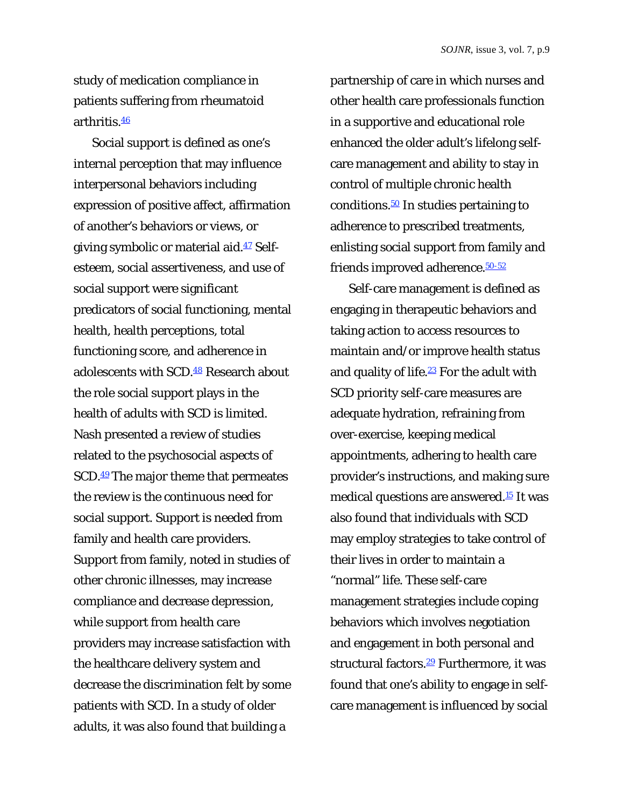study of medication compliance in patients suffering from rheumatoid arthritis.46

Social support is defined as one's internal perception that may influence interpersonal behaviors including expression of positive affect, affirmation of another's behaviors or views, or giving symbolic or material aid. $47$  Selfesteem, social assertiveness, and use of social support were significant predicators of social functioning, mental health, health perceptions, total functioning score, and adherence in adolescents with SCD.<sup>48</sup> Research about the role social support plays in the health of adults with SCD is limited. Nash presented a review of studies related to the psychosocial aspects of SCD.<sup>49</sup> The major theme that permeates the review is the continuous need for social support. Support is needed from family and health care providers. Support from family, noted in studies of other chronic illnesses, may increase compliance and decrease depression, while support from health care providers may increase satisfaction with the healthcare delivery system and decrease the discrimination felt by some patients with SCD. In a study of older adults, it was also found that building a

partnership of care in which nurses and other health care professionals function in a supportive and educational role enhanced the older adult's lifelong selfcare management and ability to stay in control of multiple chronic health conditions.<sup>50</sup> In studies pertaining to adherence to prescribed treatments, enlisting social support from family and friends improved adherence. 50-52

Self-care management is defined as engaging in therapeutic behaviors and taking action to access resources to maintain and/or improve health status and quality of life. $23$  For the adult with SCD priority self-care measures are adequate hydration, refraining from over-exercise, keeping medical appointments, adhering to health care provider's instructions, and making sure medical questions are answered.15 It was also found that individuals with SCD may employ strategies to take control of their lives in order to maintain a "normal" life. These self-care management strategies include coping behaviors which involves negotiation and engagement in both personal and structural factors.<sup>29</sup> Furthermore, it was found that one's ability to engage in selfcare management is influenced by social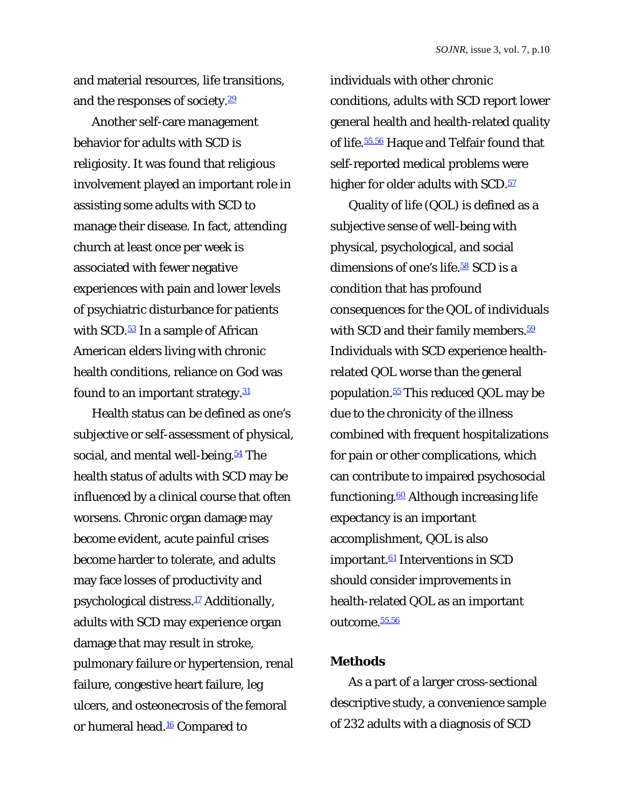and material resources, life transitions, and the responses of society.<sup>29</sup>

Another self-care management behavior for adults with SCD is religiosity. It was found that religious involvement played an important role in assisting some adults with SCD to manage their disease. In fact, attending church at least once per week is associated with fewer negative experiences with pain and lower levels of psychiatric disturbance for patients with SCD.<sup>53</sup> In a sample of African American elders living with chronic health conditions, reliance on God was found to an important strategy. $31$ 

Health status can be defined as one's subjective or self-assessment of physical, social, and mental well-being.<sup>54</sup> The health status of adults with SCD may be influenced by a clinical course that often worsens. Chronic organ damage may become evident, acute painful crises become harder to tolerate, and adults may face losses of productivity and psychological distress.17 Additionally, adults with SCD may experience organ damage that may result in stroke, pulmonary failure or hypertension, renal failure, congestive heart failure, leg ulcers, and osteonecrosis of the femoral or humeral head.<sup>16</sup> Compared to

individuals with other chronic conditions, adults with SCD report lower general health and health-related quality of life.<sup>55,56</sup> Haque and Telfair found that self-reported medical problems were higher for older adults with SCD.<sup>57</sup>

Quality of life (QOL) is defined as a subjective sense of well-being with physical, psychological, and social dimensions of one's life.<sup>58</sup> SCD is a condition that has profound consequences for the QOL of individuals with SCD and their family members.<sup>59</sup> Individuals with SCD experience healthrelated QOL worse than the general population.<sup>55</sup> This reduced QOL may be due to the chronicity of the illness combined with frequent hospitalizations for pain or other complications, which can contribute to impaired psychosocial functioning.<sup>60</sup> Although increasing life expectancy is an important accomplishment, QOL is also important.<sup>61</sup> Interventions in SCD should consider improvements in health-related QOL as an important outcome.<sup>55,56</sup>

## **Methods**

As a part of a larger cross-sectional descriptive study, a convenience sample of 232 adults with a diagnosis of SCD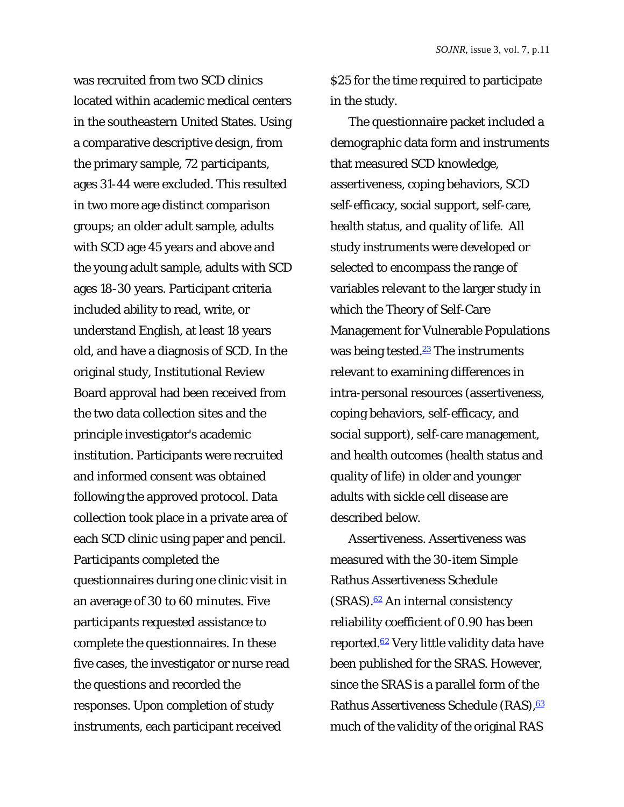was recruited from two SCD clinics located within academic medical centers in the southeastern United States. Using a comparative descriptive design, from the primary sample, 72 participants, ages 31-44 were excluded. This resulted in two more age distinct comparison groups; an older adult sample, adults with SCD age 45 years and above and the young adult sample, adults with SCD ages 18-30 years. Participant criteria included ability to read, write, or understand English, at least 18 years old, and have a diagnosis of SCD. In the original study, Institutional Review Board approval had been received from the two data collection sites and the principle investigator's academic institution. Participants were recruited and informed consent was obtained following the approved protocol. Data collection took place in a private area of each SCD clinic using paper and pencil. Participants completed the questionnaires during one clinic visit in an average of 30 to 60 minutes. Five participants requested assistance to complete the questionnaires. In these five cases, the investigator or nurse read the questions and recorded the responses. Upon completion of study instruments, each participant received

\$25 for the time required to participate in the study.

The questionnaire packet included a demographic data form and instruments that measured SCD knowledge, assertiveness, coping behaviors, SCD self-efficacy, social support, self-care, health status, and quality of life. All study instruments were developed or selected to encompass the range of variables relevant to the larger study in which the Theory of Self-Care Management for Vulnerable Populations was being tested. $23$  The instruments relevant to examining differences in intra-personal resources (assertiveness, coping behaviors, self-efficacy, and social support), self-care management, and health outcomes (health status and quality of life) in older and younger adults with sickle cell disease are described below.

*Assertiveness.* Assertiveness was measured with the 30-item Simple Rathus Assertiveness Schedule  $(SRAS).$ <sup>62</sup> An internal consistency reliability coefficient of 0.90 has been reported.<sup>62</sup> Very little validity data have been published for the SRAS. However, since the SRAS is a parallel form of the Rathus Assertiveness Schedule (RAS), 63 much of the validity of the original RAS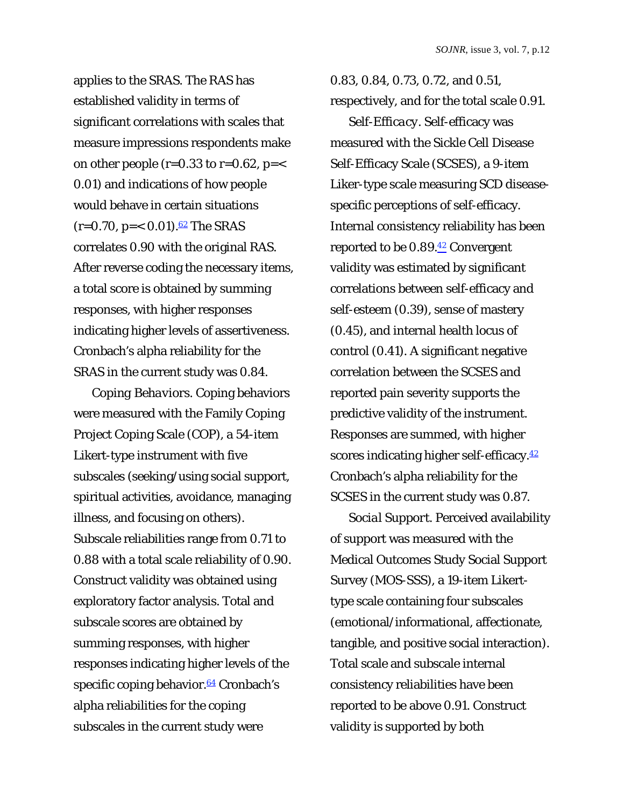applies to the SRAS. The RAS has established validity in terms of significant correlations with scales that measure impressions respondents make on other people ( $r=0.33$  to  $r=0.62$ ,  $p=<$ 0.01) and indications of how people would behave in certain situations  $(r=0.70, p=< 0.01).$   $62$  The SRAS correlates 0.90 with the original RAS. After reverse coding the necessary items, a total score is obtained by summing responses, with higher responses indicating higher levels of assertiveness. Cronbach's alpha reliability for the SRAS in the current study was 0.84.

*Coping Behaviors.* Coping behaviors were measured with the Family Coping Project Coping Scale (COP), a 54-item Likert-type instrument with five subscales (seeking/using social support, spiritual activities, avoidance, managing illness, and focusing on others). Subscale reliabilities range from 0.71 to 0.88 with a total scale reliability of 0.90. Construct validity was obtained using exploratory factor analysis. Total and subscale scores are obtained by summing responses, with higher responses indicating higher levels of the specific coping behavior.<sup>64</sup> Cronbach's alpha reliabilities for the coping subscales in the current study were

0.83, 0.84, 0.73, 0.72, and 0.51, respectively, and for the total scale 0.91. *Self-Efficacy.* Self-efficacy was measured with the Sickle Cell Disease Self-Efficacy Scale (SCSES), a 9-item Liker-type scale measuring SCD diseasespecific perceptions of self-efficacy. Internal consistency reliability has been reported to be  $0.89.42$  Convergent validity was estimated by significant correlations between self-efficacy and self-esteem (0.39), sense of mastery (0.45), and internal health locus of control (0.41). A significant negative correlation between the SCSES and reported pain severity supports the predictive validity of the instrument. Responses are summed, with higher scores indicating higher self-efficacy.<sup>42</sup> Cronbach's alpha reliability for the SCSES in the current study was 0.87.

*Social Support.* Perceived availability of support was measured with the Medical Outcomes Study Social Support Survey (MOS-SSS), a 19-item Likerttype scale containing four subscales (emotional/informational, affectionate, tangible, and positive social interaction). Total scale and subscale internal consistency reliabilities have been reported to be above 0.91. Construct validity is supported by both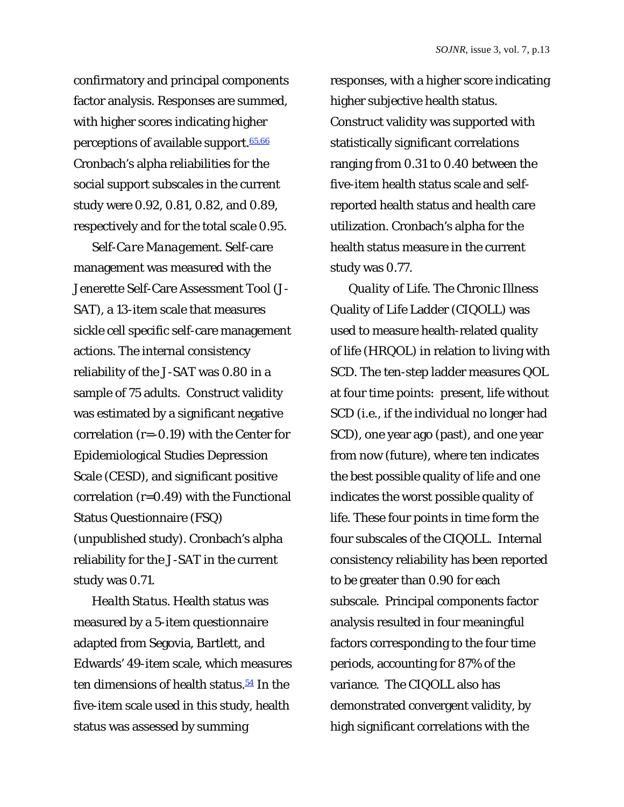confirmatory and principal components factor analysis. Responses are summed, with higher scores indicating higher perceptions of available support.<sup>65,66</sup> Cronbach's alpha reliabilities for the social support subscales in the current study were 0.92, 0.81, 0.82, and 0.89, respectively and for the total scale 0.95.

*Self-Care Management.* Self-care management was measured with the Jenerette Self-Care Assessment Tool (J-SAT), a 13-item scale that measures sickle cell specific self-care management actions. The internal consistency reliability of the J-SAT was 0.80 in a sample of 75 adults. Construct validity was estimated by a significant negative correlation (r=-0.19) with the Center for Epidemiological Studies Depression Scale (CESD), and significant positive correlation (r=0.49) with the Functional Status Questionnaire (FSQ) (unpublished study). Cronbach's alpha reliability for the J-SAT in the current study was 0.71.

*Health Status.* Health status was measured by a 5-item questionnaire adapted from Segovia, Bartlett, and Edwards' 49-item scale, which measures ten dimensions of health status.<sup>54</sup> In the five-item scale used in this study, health status was assessed by summing

responses, with a higher score indicating higher subjective health status. Construct validity was supported with statistically significant correlations ranging from 0.31 to 0.40 between the five-item health status scale and selfreported health status and health care utilization. Cronbach's alpha for the health status measure in the current study was 0.77.

*Quality of Life.* The Chronic Illness Quality of Life Ladder (CIQOLL) was used to measure health-related quality of life (HRQOL) in relation to living with SCD. The ten-step ladder measures QOL at four time points: present, life without SCD (i.e., if the individual no longer had SCD), one year ago (past), and one year from now (future), where ten indicates the best possible quality of life and one indicates the worst possible quality of life. These four points in time form the four subscales of the CIQOLL. Internal consistency reliability has been reported to be greater than 0.90 for each subscale. Principal components factor analysis resulted in four meaningful factors corresponding to the four time periods, accounting for 87% of the variance. The CIQOLL also has demonstrated convergent validity, by high significant correlations with the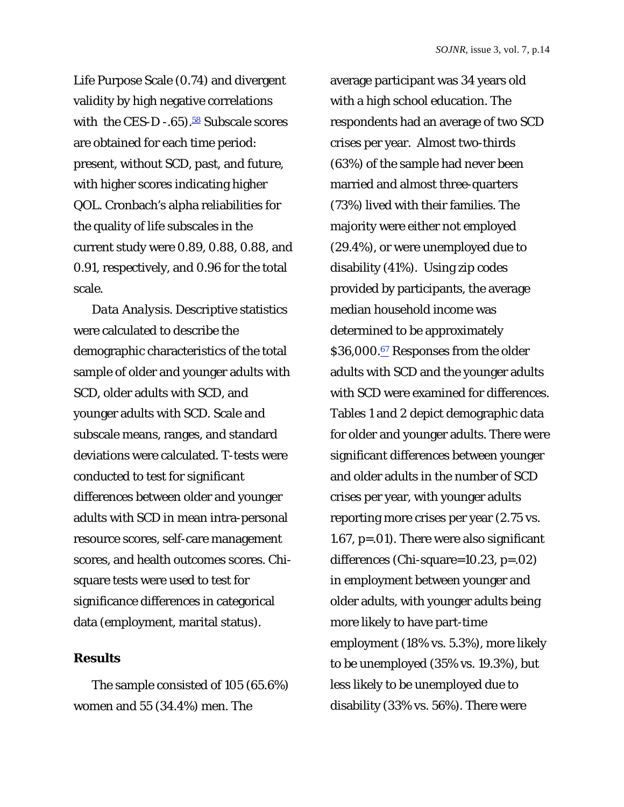Life Purpose Scale (0.74) and divergent validity by high negative correlations with the CES-D -.65). $58$  Subscale scores are obtained for each time period: present, without SCD, past, and future, with higher scores indicating higher QOL. Cronbach's alpha reliabilities for the quality of life subscales in the current study were 0.89, 0.88, 0.88, and 0.91, respectively, and 0.96 for the total scale.

*Data Analysis.* Descriptive statistics were calculated to describe the demographic characteristics of the total sample of older and younger adults with SCD, older adults with SCD, and younger adults with SCD. Scale and subscale means, ranges, and standard deviations were calculated. T-tests were conducted to test for significant differences between older and younger adults with SCD in mean intra-personal resource scores, self-care management scores, and health outcomes scores. Chisquare tests were used to test for significance differences in categorical data (employment, marital status).

#### **Results**

The sample consisted of 105 (65.6%) women and 55 (34.4%) men. The

average participant was 34 years old with a high school education. The respondents had an average of two SCD crises per year. Almost two-thirds (63%) of the sample had never been married and almost three-quarters (73%) lived with their families. The majority were either not employed (29.4%), or were unemployed due to disability (41%). Using zip codes provided by participants, the average median household income was determined to be approximately \$36,000.<sup>67</sup> Responses from the older adults with SCD and the younger adults with SCD were examined for differences. Tables 1 and 2 depict demographic data for older and younger adults. There were significant differences between younger and older adults in the number of SCD crises per year, with younger adults reporting more crises per year (2.75 vs. 1.67, p=.01). There were also significant differences (Chi-square=10.23, p=.02) in employment between younger and older adults, with younger adults being more likely to have part-time employment (18% vs. 5.3%), more likely to be unemployed (35% vs. 19.3%), but less likely to be unemployed due to disability (33% vs. 56%). There were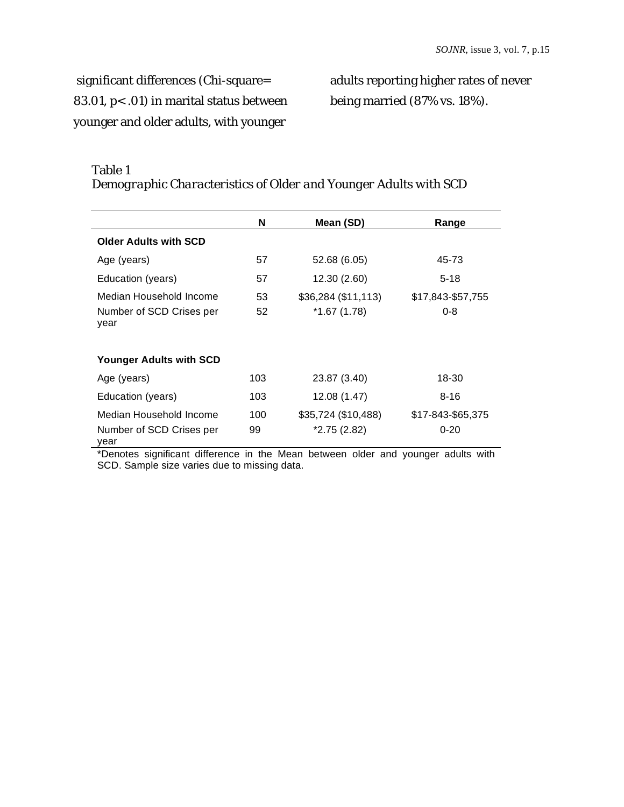significant differences (Chi-square= 83.01, p< .01) in marital status between younger and older adults, with younger

adults reporting higher rates of never being married (87% vs. 18%).

## Table 1

*Demographic Characteristics of Older and Younger Adults with SCD* 

|                                                             | N         | Mean (SD)                            | Range                         |
|-------------------------------------------------------------|-----------|--------------------------------------|-------------------------------|
| <b>Older Adults with SCD</b>                                |           |                                      |                               |
| Age (years)                                                 | 57        | 52.68 (6.05)                         | 45-73                         |
| Education (years)                                           | 57        | 12.30 (2.60)                         | $5-18$                        |
| Median Household Income<br>Number of SCD Crises per<br>year | 53<br>52  | \$36,284 (\$11,113)<br>$*1.67(1.78)$ | \$17,843-\$57,755<br>$0 - 8$  |
| <b>Younger Adults with SCD</b>                              |           |                                      |                               |
| Age (years)                                                 | 103       | 23.87 (3.40)                         | 18-30                         |
| Education (years)                                           | 103       | 12.08 (1.47)                         | $8 - 16$                      |
| Median Household Income<br>Number of SCD Crises per<br>year | 100<br>99 | \$35,724 (\$10,488)<br>$*2.75(2.82)$ | \$17-843-\$65,375<br>$0 - 20$ |

\*Denotes significant difference in the Mean between older and younger adults with SCD. Sample size varies due to missing data.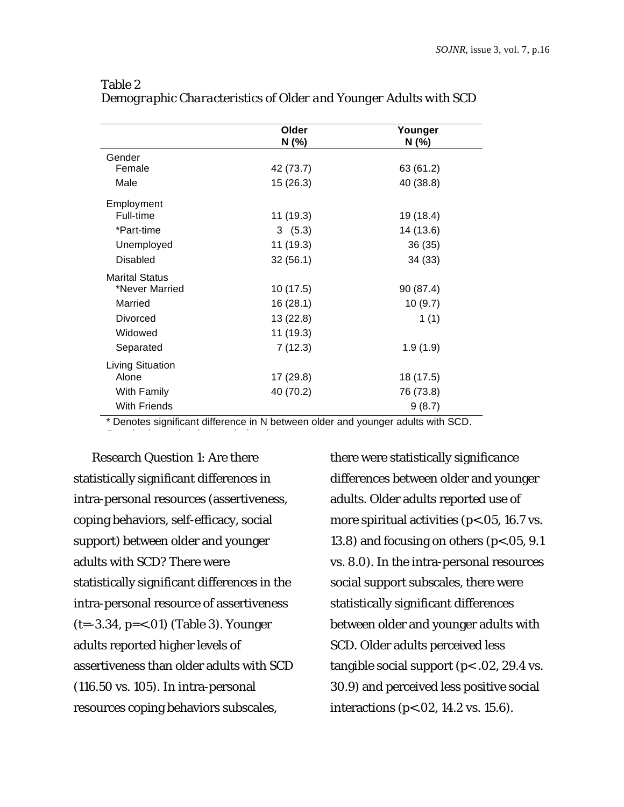|                       | Older<br>N (%) | Younger<br>N (%) |
|-----------------------|----------------|------------------|
| Gender                |                |                  |
| Female                | 42 (73.7)      | 63 (61.2)        |
| Male                  | 15 (26.3)      | 40 (38.8)        |
| Employment            |                |                  |
| Full-time             | 11 (19.3)      | 19 (18.4)        |
| *Part-time            | 3(5.3)         | 14 (13.6)        |
| Unemployed            | 11 (19.3)      | 36(35)           |
| <b>Disabled</b>       | 32(56.1)       | 34 (33)          |
| <b>Marital Status</b> |                |                  |
| *Never Married        | 10 (17.5)      | 90 (87.4)        |
| Married               | 16(28.1)       | 10(9.7)          |
| <b>Divorced</b>       | 13 (22.8)      | 1(1)             |
| Widowed               | 11 (19.3)      |                  |
| Separated             | 7(12.3)        | 1.9(1.9)         |
| Living Situation      |                |                  |
| Alone                 | 17 (29.8)      | 18 (17.5)        |
| With Family           | 40 (70.2)      | 76 (73.8)        |
| With Friends          |                | 9(8.7)           |

Table 2 *Demographic Characteristics of Older and Younger Adults with SCD* 

\* Denotes significant difference in N between older and younger adults with SCD.

Research Question 1: Are there statistically significant differences in intra-personal resources (assertiveness, coping behaviors, self-efficacy, social support) between older and younger adults with SCD? There were statistically significant differences in the intra-personal resource of assertiveness (t=-3.34, p=<.01) (Table 3). Younger adults reported higher levels of assertiveness than older adults with SCD (116.50 vs. 105). In intra-personal resources coping behaviors subscales,

S l i d'an del casa de la casa de la casa de la casa de la casa de la casa de la casa de la casa de la casa de<br>Segundo de la casa de la casa de la casa de la casa de la casa de la casa de la casa de la casa de la casa de

there were statistically significance differences between older and younger adults. Older adults reported use of more spiritual activities (p<.05, 16.7 vs. 13.8) and focusing on others (p<.05, 9.1 vs. 8.0). In the intra-personal resources social support subscales, there were statistically significant differences between older and younger adults with SCD. Older adults perceived less tangible social support (p< .02, 29.4 vs. 30.9) and perceived less positive social interactions (p<.02, 14.2 vs. 15.6).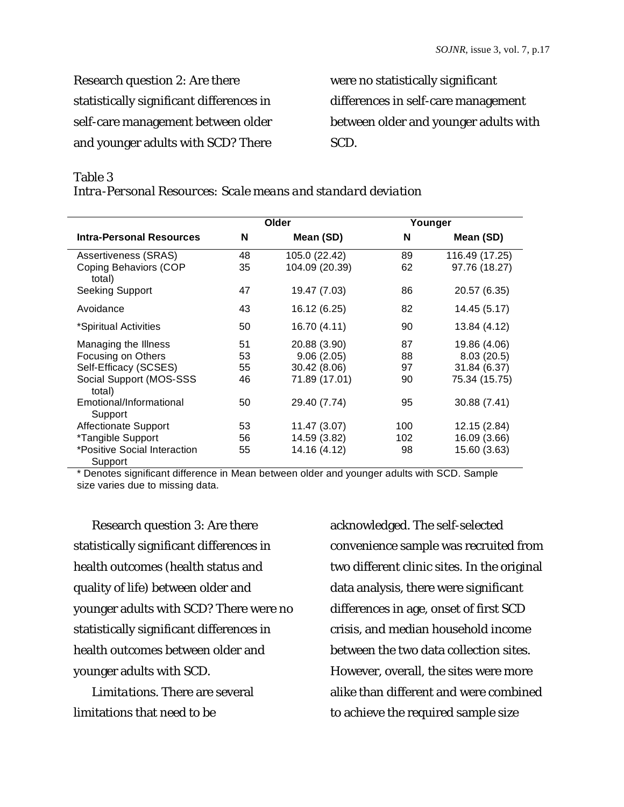Research question 2: Are there statistically significant differences in self-care management between older and younger adults with SCD? There

were no statistically significant differences in self-care management between older and younger adults with SCD.

#### Table 3

*Intra-Personal Resources: Scale means and standard deviation* 

|                                         |    | Older          |     | Younger        |
|-----------------------------------------|----|----------------|-----|----------------|
| <b>Intra-Personal Resources</b>         | N  | Mean (SD)      | N   | Mean (SD)      |
| Assertiveness (SRAS)                    | 48 | 105.0 (22.42)  | 89  | 116.49 (17.25) |
| Coping Behaviors (COP<br>total)         | 35 | 104.09 (20.39) | 62  | 97.76 (18.27)  |
| Seeking Support                         | 47 | 19.47 (7.03)   | 86  | 20.57 (6.35)   |
| Avoidance                               | 43 | 16.12 (6.25)   | 82  | 14.45 (5.17)   |
| *Spiritual Activities                   | 50 | 16.70 (4.11)   | 90  | 13.84 (4.12)   |
| Managing the Illness                    | 51 | 20.88 (3.90)   | 87  | 19.86 (4.06)   |
| Focusing on Others                      | 53 | 9.06(2.05)     | 88  | 8.03(20.5)     |
| Self-Efficacy (SCSES)                   | 55 | 30.42 (8.06)   | 97  | 31.84 (6.37)   |
| Social Support (MOS-SSS<br>total)       | 46 | 71.89 (17.01)  | 90  | 75.34 (15.75)  |
| Emotional/Informational<br>Support      | 50 | 29.40 (7.74)   | 95  | 30.88 (7.41)   |
| Affectionate Support                    | 53 | 11.47 (3.07)   | 100 | 12.15 (2.84)   |
| *Tangible Support                       | 56 | 14.59 (3.82)   | 102 | 16.09 (3.66)   |
| *Positive Social Interaction<br>Support | 55 | 14.16 (4.12)   | 98  | 15.60 (3.63)   |

\* Denotes significant difference in Mean between older and younger adults with SCD. Sample size varies due to missing data.

Research question 3: Are there statistically significant differences in health outcomes (health status and quality of life) between older and younger adults with SCD? There were no statistically significant differences in health outcomes between older and younger adults with SCD.

*Limitations.* There are several limitations that need to be

acknowledged. The self-selected convenience sample was recruited from two different clinic sites. In the original data analysis, there were significant differences in age, onset of first SCD crisis, and median household income between the two data collection sites. However, overall, the sites were more alike than different and were combined to achieve the required sample size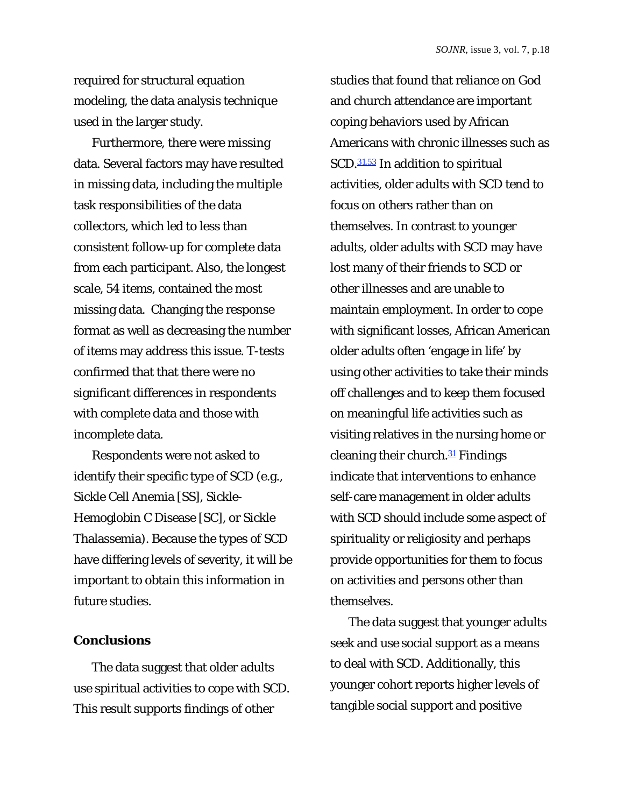required for structural equation modeling, the data analysis technique used in the larger study.

Furthermore, there were missing data. Several factors may have resulted in missing data, including the multiple task responsibilities of the data collectors, which led to less than consistent follow-up for complete data from each participant. Also, the longest scale, 54 items, contained the most missing data. Changing the response format as well as decreasing the number of items may address this issue. T-tests confirmed that that there were no significant differences in respondents with complete data and those with incomplete data.

Respondents were not asked to identify their specific type of SCD (e.g., Sickle Cell Anemia [SS], Sickle-Hemoglobin C Disease [SC], or Sickle Thalassemia). Because the types of SCD have differing levels of severity, it will be important to obtain this information in future studies.

### **Conclusions**

The data suggest that older adults use spiritual activities to cope with SCD. This result supports findings of other

studies that found that reliance on God and church attendance are important coping behaviors used by African Americans with chronic illnesses such as SCD.<sup>31,53</sup> In addition to spiritual activities, older adults with SCD tend to focus on others rather than on themselves. In contrast to younger adults, older adults with SCD may have lost many of their friends to SCD or other illnesses and are unable to maintain employment. In order to cope with significant losses, African American older adults often 'engage in life' by using other activities to take their minds off challenges and to keep them focused on meaningful life activities such as visiting relatives in the nursing home or cleaning their church.<sup>31</sup> Findings indicate that interventions to enhance self-care management in older adults with SCD should include some aspect of spirituality or religiosity and perhaps provide opportunities for them to focus on activities and persons other than themselves.

The data suggest that younger adults seek and use social support as a means to deal with SCD. Additionally, this younger cohort reports higher levels of tangible social support and positive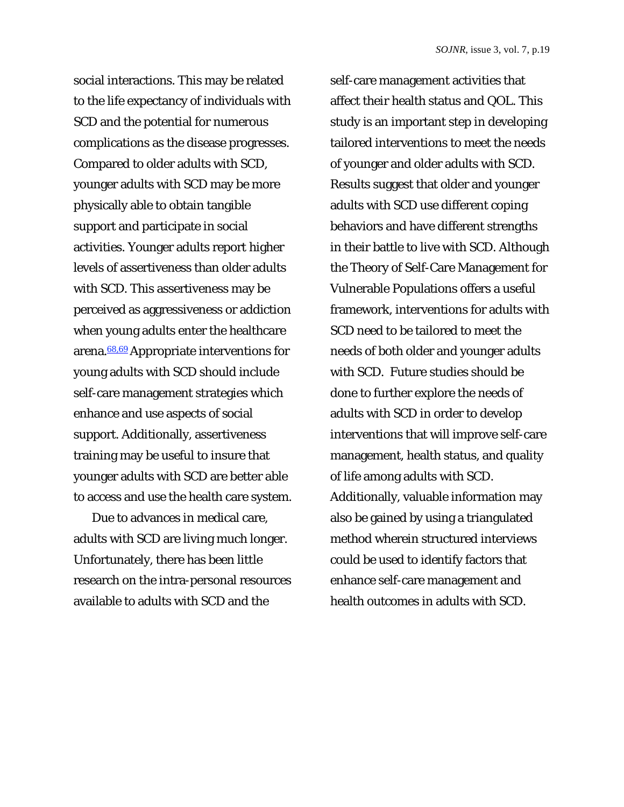social interactions. This may be related to the life expectancy of individuals with SCD and the potential for numerous complications as the disease progresses. Compared to older adults with SCD, younger adults with SCD may be more physically able to obtain tangible support and participate in social activities. Younger adults report higher levels of assertiveness than older adults with SCD. This assertiveness may be perceived as aggressiveness or addiction when young adults enter the healthcare arena.68,69 Appropriate interventions for young adults with SCD should include self-care management strategies which enhance and use aspects of social support. Additionally, assertiveness training may be useful to insure that younger adults with SCD are better able to access and use the health care system.

Due to advances in medical care, adults with SCD are living much longer. Unfortunately, there has been little research on the intra-personal resources available to adults with SCD and the

self-care management activities that affect their health status and QOL. This study is an important step in developing tailored interventions to meet the needs of younger and older adults with SCD. Results suggest that older and younger adults with SCD use different coping behaviors and have different strengths in their battle to live with SCD. Although the Theory of Self-Care Management for Vulnerable Populations offers a useful framework, interventions for adults with SCD need to be tailored to meet the needs of both older and younger adults with SCD. Future studies should be done to further explore the needs of adults with SCD in order to develop interventions that will improve self-care management, health status, and quality of life among adults with SCD. Additionally, valuable information may also be gained by using a triangulated method wherein structured interviews could be used to identify factors that enhance self-care management and health outcomes in adults with SCD.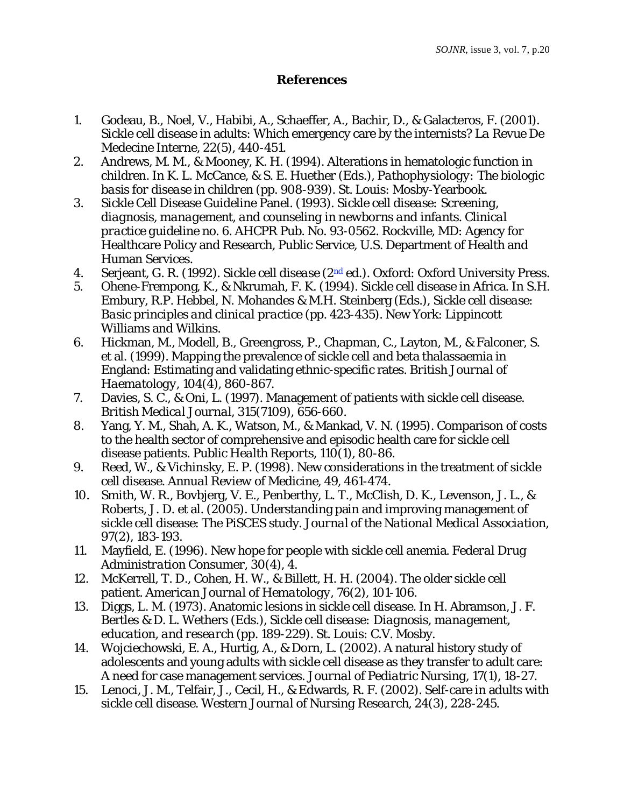## **References**

- 1. Godeau, B., Noel, V., Habibi, A., Schaeffer, A., Bachir, D., & Galacteros, F. (2001). Sickle cell disease in adults: Which emergency care by the internists? *La Revue De Medecine Interne, 22*(5), 440-451.
- 2. Andrews, M. M., & Mooney, K. H. (1994). Alterations in hematologic function in children. In K. L. McCance, & S. E. Huether (Eds.), *Pathophysiology: The biologic basis for disease in children* (pp. 908-939). St. Louis: Mosby-Yearbook.
- 3. Sickle Cell Disease Guideline Panel. (1993). *Sickle cell disease: Screening, diagnosis, management, and counseling in newborns and infants. Clinical practice guideline no. 6. AHCPR Pub. No. 93-0562.* Rockville, MD: Agency for Healthcare Policy and Research, Public Service, U.S. Department of Health and Human Services.
- 4. Serjeant, G. R. (1992). *Sickle cell disease* (2nd ed.). Oxford: Oxford University Press.
- 5. Ohene-Frempong, K., & Nkrumah, F. K. (1994). Sickle cell disease in Africa. In S.H. Embury, R.P. Hebbel, N. Mohandes & M.H. Steinberg (Eds.), *Sickle cell disease: Basic principles and clinical practice* (pp. 423-435). New York: Lippincott Williams and Wilkins.
- 6. Hickman, M., Modell, B., Greengross, P., Chapman, C., Layton, M., & Falconer, S. et al. (1999). Mapping the prevalence of sickle cell and beta thalassaemia in England: Estimating and validating ethnic-specific rates. *British Journal of Haematology, 104*(4), 860-867.
- 7. Davies, S. C., & Oni, L. (1997). Management of patients with sickle cell disease. *British Medical Journal, 315*(7109), 656-660.
- 8. Yang, Y. M., Shah, A. K., Watson, M., & Mankad, V. N. (1995). Comparison of costs to the health sector of comprehensive and episodic health care for sickle cell disease patients. *Public Health Reports, 110*(1), 80-86.
- 9. Reed, W., & Vichinsky, E. P. (1998). New considerations in the treatment of sickle cell disease. *Annual Review of Medicine, 49*, 461-474.
- 10. Smith, W. R., Bovbjerg, V. E., Penberthy, L. T., McClish, D. K., Levenson, J. L., & Roberts, J. D. et al. (2005). Understanding pain and improving management of sickle cell disease: The PiSCES study. *Journal of the National Medical Association, 97*(2), 183-193.
- 11. Mayfield, E. (1996). New hope for people with sickle cell anemia. *Federal Drug Administration Consumer, 30*(4), 4.
- 12. McKerrell, T. D., Cohen, H. W., & Billett, H. H. (2004). The older sickle cell patient. *American Journal of Hematology, 76*(2), 101-106.
- 13. Diggs, L. M. (1973). Anatomic lesions in sickle cell disease. In H. Abramson, J. F. Bertles & D. L. Wethers (Eds.), *Sickle cell disease: Diagnosis, management, education, and research* (pp. 189-229). St. Louis: C.V. Mosby.
- 14. Wojciechowski, E. A., Hurtig, A., & Dorn, L. (2002). A natural history study of adolescents and young adults with sickle cell disease as they transfer to adult care: A need for case management services. *Journal of Pediatric Nursing, 17*(1), 18-27.
- 15. Lenoci, J. M., Telfair, J., Cecil, H., & Edwards, R. F. (2002). Self-care in adults with sickle cell disease. *Western Journal of Nursing Research, 24*(3), 228-245.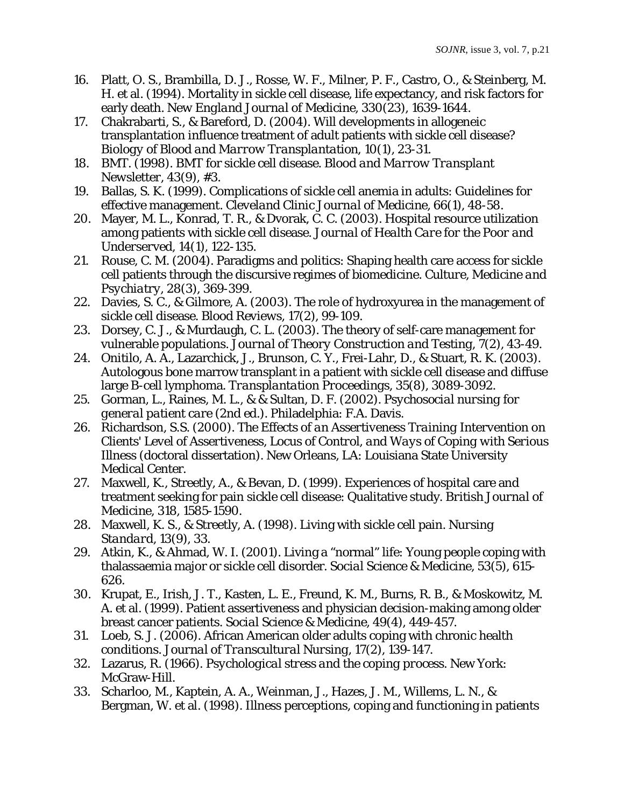- 16. Platt, O. S., Brambilla, D. J., Rosse, W. F., Milner, P. F., Castro, O., & Steinberg, M. H. et al. (1994). Mortality in sickle cell disease, life expectancy, and risk factors for early death. *New England Journal of Medicine, 330*(23), 1639-1644.
- 17. Chakrabarti, S., & Bareford, D. (2004). Will developments in allogeneic transplantation influence treatment of adult patients with sickle cell disease? *Biology of Blood and Marrow Transplantation, 10*(1), 23-31.
- 18. BMT. (1998). BMT for sickle cell disease. *Blood and Marrow Transplant Newsletter, 43*(9), #3.
- 19. Ballas, S. K. (1999). Complications of sickle cell anemia in adults: Guidelines for effective management. *Cleveland Clinic Journal of Medicine, 66*(1), 48-58.
- 20. Mayer, M. L., Konrad, T. R., & Dvorak, C. C. (2003). Hospital resource utilization among patients with sickle cell disease. *Journal of Health Care for the Poor and Underserved, 14*(1), 122-135.
- 21. Rouse, C. M. (2004). Paradigms and politics: Shaping health care access for sickle cell patients through the discursive regimes of biomedicine. *Culture, Medicine and Psychiatry, 28*(3), 369-399.
- 22. Davies, S. C., & Gilmore, A. (2003). The role of hydroxyurea in the management of sickle cell disease. *Blood Reviews, 17*(2), 99-109.
- 23. Dorsey, C. J., & Murdaugh, C. L. (2003). The theory of self-care management for vulnerable populations. *Journal of Theory Construction and Testing, 7*(2), 43-49.
- 24. Onitilo, A. A., Lazarchick, J., Brunson, C. Y., Frei-Lahr, D., & Stuart, R. K. (2003). Autologous bone marrow transplant in a patient with sickle cell disease and diffuse large B-cell lymphoma. *Transplantation Proceedings, 35*(8), 3089-3092.
- 25. Gorman, L., Raines, M. L., & & Sultan, D. F. (2002). *Psychosocial nursing for general patient care* (2nd ed.). Philadelphia: F.A. Davis.
- 26. Richardson, S.S. (2000). *The Effects of an Assertiveness Training Intervention on Clients' Level of Assertiveness, Locus of Control, and Ways of Coping with Serious Illness* (doctoral dissertation). New Orleans, LA: Louisiana State University Medical Center.
- 27. Maxwell, K., Streetly, A., & Bevan, D. (1999). Experiences of hospital care and treatment seeking for pain sickle cell disease: Qualitative study. *British Journal of Medicine, 318*, 1585-1590.
- 28. Maxwell, K. S., & Streetly, A. (1998). Living with sickle cell pain. *Nursing Standard, 13*(9), 33.
- 29. Atkin, K., & Ahmad, W. I. (2001). Living a "normal" life: Young people coping with thalassaemia major or sickle cell disorder. *Social Science & Medicine, 53*(5), 615- 626.
- 30. Krupat, E., Irish, J. T., Kasten, L. E., Freund, K. M., Burns, R. B., & Moskowitz, M. A. et al. (1999). Patient assertiveness and physician decision-making among older breast cancer patients. *Social Science & Medicine, 49*(4), 449-457.
- 31. Loeb, S. J. (2006). African American older adults coping with chronic health conditions. *Journal of Transcultural Nursing, 17*(2), 139-147.
- 32. Lazarus, R. (1966). *Psychological stress and the coping process.* New York: McGraw-Hill.
- 33. Scharloo, M., Kaptein, A. A., Weinman, J., Hazes, J. M., Willems, L. N., & Bergman, W. et al. (1998). Illness perceptions, coping and functioning in patients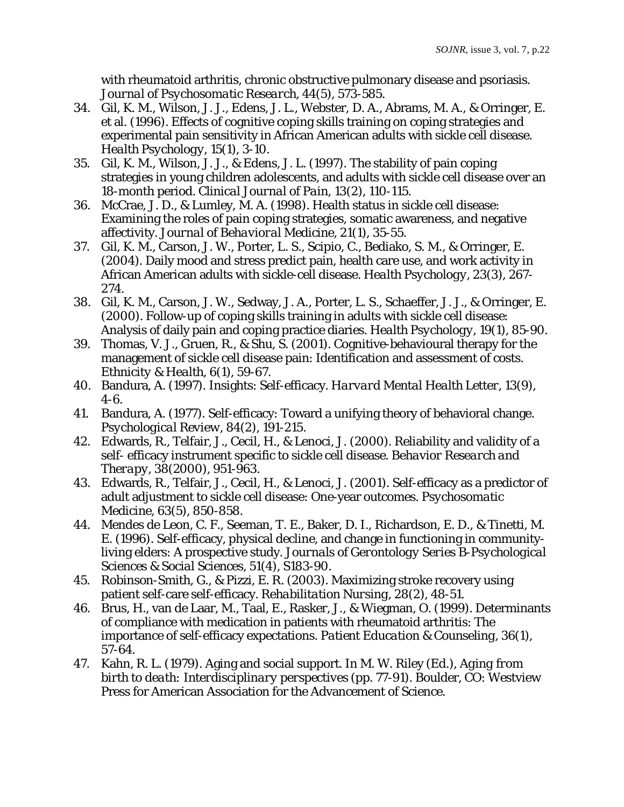with rheumatoid arthritis, chronic obstructive pulmonary disease and psoriasis. *Journal of Psychosomatic Research, 44*(5), 573-585.

- 34. Gil, K. M., Wilson, J. J., Edens, J. L., Webster, D. A., Abrams, M. A., & Orringer, E. et al. (1996). Effects of cognitive coping skills training on coping strategies and experimental pain sensitivity in African American adults with sickle cell disease. *Health Psychology, 15*(1), 3-10.
- 35. Gil, K. M., Wilson, J. J., & Edens, J. L. (1997). The stability of pain coping strategies in young children adolescents, and adults with sickle cell disease over an 18-month period. *Clinical Journal of Pain, 13*(2), 110-115.
- 36. McCrae, J. D., & Lumley, M. A. (1998). Health status in sickle cell disease: Examining the roles of pain coping strategies, somatic awareness, and negative affectivity. *Journal of Behavioral Medicine, 21*(1), 35-55.
- 37. Gil, K. M., Carson, J. W., Porter, L. S., Scipio, C., Bediako, S. M., & Orringer, E. (2004). Daily mood and stress predict pain, health care use, and work activity in African American adults with sickle-cell disease. *Health Psychology, 23*(3), 267- 274.
- 38. Gil, K. M., Carson, J. W., Sedway, J. A., Porter, L. S., Schaeffer, J. J., & Orringer, E. (2000). Follow-up of coping skills training in adults with sickle cell disease: Analysis of daily pain and coping practice diaries. *Health Psychology, 19*(1), 85-90.
- 39. Thomas, V. J., Gruen, R., & Shu, S. (2001). Cognitive-behavioural therapy for the management of sickle cell disease pain: Identification and assessment of costs. *Ethnicity & Health, 6*(1), 59-67.
- 40. Bandura, A. (1997). Insights: Self-efficacy. *Harvard Mental Health Letter, 13*(9), 4-6.
- 41. Bandura, A. (1977). Self-efficacy: Toward a unifying theory of behavioral change. *Psychological Review, 84*(2), 191-215.
- 42. Edwards, R., Telfair, J., Cecil, H., & Lenoci, J. (2000). Reliability and validity of a self- efficacy instrument specific to sickle cell disease. *Behavior Research and Therapy, 38*(2000), 951-963.
- 43. Edwards, R., Telfair, J., Cecil, H., & Lenoci, J. (2001). Self-efficacy as a predictor of adult adjustment to sickle cell disease: One-year outcomes. *Psychosomatic Medicine, 63*(5), 850-858.
- 44. Mendes de Leon, C. F., Seeman, T. E., Baker, D. I., Richardson, E. D., & Tinetti, M. E. (1996). Self-efficacy, physical decline, and change in functioning in communityliving elders: A prospective study. *Journals of Gerontology Series B-Psychological Sciences & Social Sciences, 51*(4), S183-90.
- 45. Robinson-Smith, G., & Pizzi, E. R. (2003). Maximizing stroke recovery using patient self-care self-efficacy. *Rehabilitation Nursing, 28*(2), 48-51.
- 46. Brus, H., van de Laar, M., Taal, E., Rasker, J., & Wiegman, O. (1999). Determinants of compliance with medication in patients with rheumatoid arthritis: The importance of self-efficacy expectations. *Patient Education & Counseling, 36*(1), 57-64.
- 47. Kahn, R. L. (1979). Aging and social support. In M. W. Riley (Ed.), *Aging from birth to death: Interdisciplinary perspectives* (pp. 77-91). Boulder, CO: Westview Press for American Association for the Advancement of Science.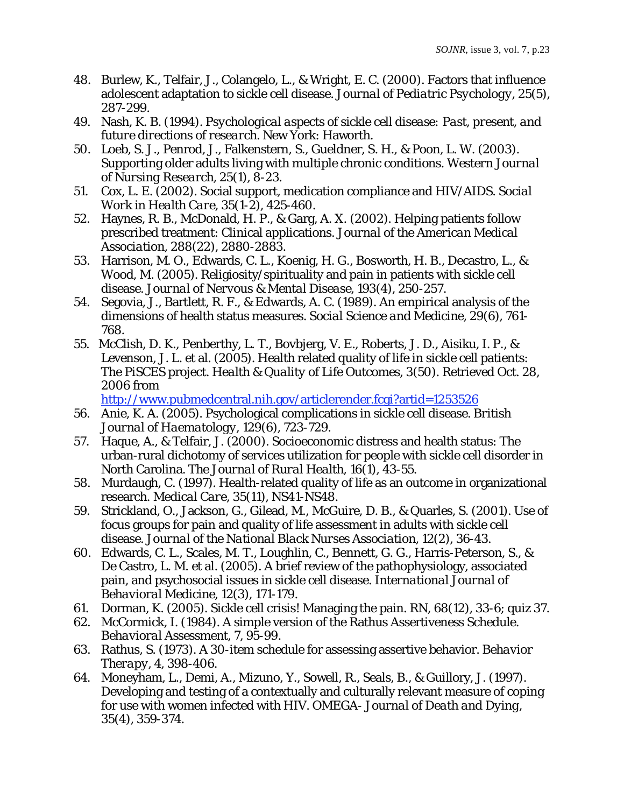- 48. Burlew, K., Telfair, J., Colangelo, L., & Wright, E. C. (2000). Factors that influence adolescent adaptation to sickle cell disease. *Journal of Pediatric Psychology, 25*(5), 287-299.
- 49. Nash, K. B. (1994). *Psychological aspects of sickle cell disease: Past, present, and future directions of research*. New York: Haworth.
- 50. Loeb, S. J., Penrod, J., Falkenstern, S., Gueldner, S. H., & Poon, L. W. (2003). Supporting older adults living with multiple chronic conditions. *Western Journal of Nursing Research, 25*(1), 8-23.
- 51. Cox, L. E. (2002). Social support, medication compliance and HIV/AIDS. *Social Work in Health Care, 35*(1-2), 425-460.
- 52. Haynes, R. B., McDonald, H. P., & Garg, A. X. (2002). Helping patients follow prescribed treatment: Clinical applications. *Journal of the American Medical Association, 288*(22), 2880-2883.
- 53. Harrison, M. O., Edwards, C. L., Koenig, H. G., Bosworth, H. B., Decastro, L., & Wood, M. (2005). Religiosity/spirituality and pain in patients with sickle cell disease. *Journal of Nervous & Mental Disease, 193*(4), 250-257.
- 54. Segovia, J., Bartlett, R. F., & Edwards, A. C. (1989). An empirical analysis of the dimensions of health status measures. *Social Science and Medicine, 29*(6), 761- 768.
- 55. McClish, D. K., Penberthy, L. T., Bovbjerg, V. E., Roberts, J. D., Aisiku, I. P., & Levenson, J. L. et al. (2005). Health related quality of life in sickle cell patients: The PiSCES project. *Health & Quality of Life Outcomes, 3*(50). Retrieved Oct. 28, 2006 from

<http://www.pubmedcentral.nih.gov/articlerender.fcgi?artid=1253526>

- 56. Anie, K. A. (2005). Psychological complications in sickle cell disease. *British Journal of Haematology, 129*(6), 723-729.
- 57. Haque, A., & Telfair, J. (2000). Socioeconomic distress and health status: The urban-rural dichotomy of services utilization for people with sickle cell disorder in North Carolina. *The Journal of Rural Health, 16*(1), 43-55.
- 58. Murdaugh, C. (1997). Health-related quality of life as an outcome in organizational research. *Medical Care, 35*(11), NS41-NS48.
- 59. Strickland, O., Jackson, G., Gilead, M., McGuire, D. B., & Quarles, S. (2001). Use of focus groups for pain and quality of life assessment in adults with sickle cell disease. *Journal of the National Black Nurses Association, 12*(2), 36-43.
- 60. Edwards, C. L., Scales, M. T., Loughlin, C., Bennett, G. G., Harris-Peterson, S., & De Castro, L. M. et al. (2005). A brief review of the pathophysiology, associated pain, and psychosocial issues in sickle cell disease. *International Journal of Behavioral Medicine, 12*(3), 171-179.
- 61. Dorman, K. (2005). Sickle cell crisis! Managing the pain. *RN, 68*(12), 33-6; quiz 37.
- 62. McCormick, I. (1984). A simple version of the Rathus Assertiveness Schedule. *Behavioral Assessment, 7*, 95-99.
- 63. Rathus, S. (1973). A 30-item schedule for assessing assertive behavior. *Behavior Therapy, 4*, 398-406.
- 64. Moneyham, L., Demi, A., Mizuno, Y., Sowell, R., Seals, B., & Guillory, J. (1997). Developing and testing of a contextually and culturally relevant measure of coping for use with women infected with HIV. *OMEGA- Journal of Death and Dying, 35*(4), 359-374.